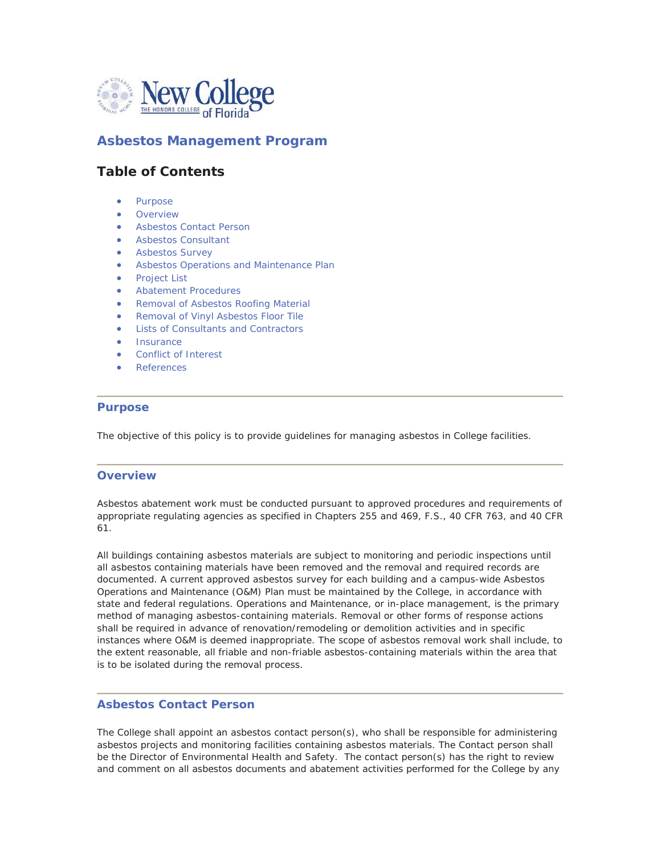

# **Asbestos Management Program**

# **Table of Contents**

- Purpose
- **Overview**
- Asbestos Contact Person
- **•** Asbestos Consultant
- **•** Asbestos Survey
- Asbestos Operations and Maintenance Plan
- **Project List**
- **•** Abatement Procedures
- Removal of Asbestos Roofing Material
- **Removal of Vinyl Asbestos Floor Tile**
- Lists of Consultants and Contractors
- **Insurance**
- **Conflict of Interest**
- **References**

## **Purpose**

The objective of this policy is to provide guidelines for managing asbestos in College facilities.

# **Overview**

Asbestos abatement work must be conducted pursuant to approved procedures and requirements of appropriate regulating agencies as specified in Chapters 255 and 469, F.S., 40 CFR 763, and 40 CFR 61.

All buildings containing asbestos materials are subject to monitoring and periodic inspections until all asbestos containing materials have been removed and the removal and required records are documented. A current approved asbestos survey for each building and a campus-wide Asbestos Operations and Maintenance (O&M) Plan must be maintained by the College, in accordance with state and federal regulations. Operations and Maintenance, or in-place management, is the primary method of managing asbestos-containing materials. Removal or other forms of response actions shall be required in advance of renovation/remodeling or demolition activities and in specific instances where O&M is deemed inappropriate. The scope of asbestos removal work shall include, to the extent reasonable, all friable and non-friable asbestos-containing materials within the area that is to be isolated during the removal process.

# **Asbestos Contact Person**

The College shall appoint an asbestos contact person(s), who shall be responsible for administering asbestos projects and monitoring facilities containing asbestos materials. The Contact person shall be the Director of Environmental Health and Safety. The contact person(s) has the right to review and comment on all asbestos documents and abatement activities performed for the College by any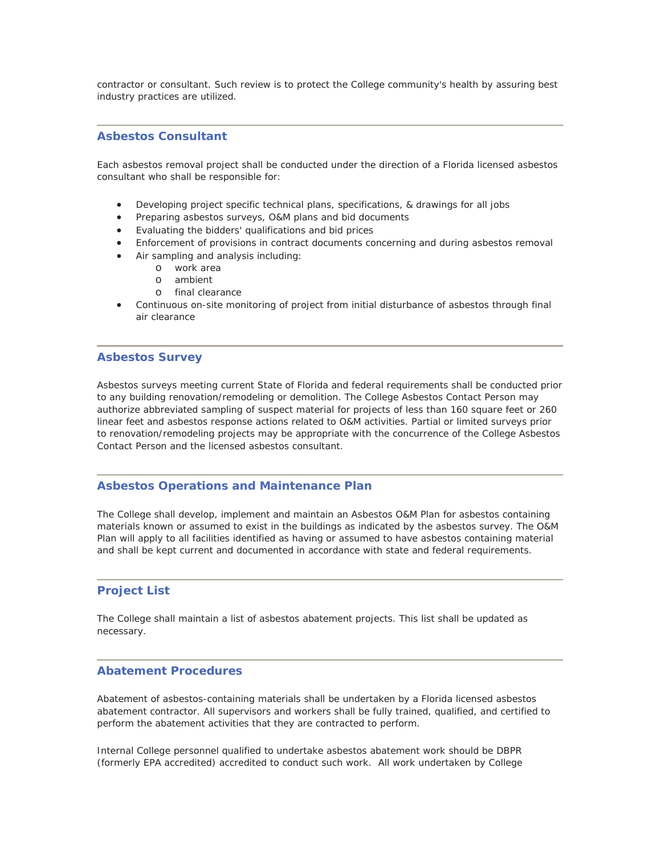contractor or consultant. Such review is to protect the College community's health by assuring best industry practices are utilized.

### **Asbestos Consultant**

Each asbestos removal project shall be conducted under the direction of a Florida licensed asbestos consultant who shall be responsible for:

- Developing project specific technical plans, specifications, & drawings for all jobs
- Preparing asbestos surveys, O&M plans and bid documents
- Evaluating the bidders' qualifications and bid prices
- Enforcement of provisions in contract documents concerning and during asbestos removal
- Air sampling and analysis including:
	- o work area
	- o ambient
	- o final clearance
- Continuous on-site monitoring of project from initial disturbance of asbestos through final air clearance

#### **Asbestos Survey**

Asbestos surveys meeting current State of Florida and federal requirements shall be conducted prior to any building renovation/remodeling or demolition. The College Asbestos Contact Person may authorize abbreviated sampling of suspect material for projects of less than 160 square feet or 260 linear feet and asbestos response actions related to O&M activities. Partial or limited surveys prior to renovation/remodeling projects may be appropriate with the concurrence of the College Asbestos Contact Person and the licensed asbestos consultant.

#### **Asbestos Operations and Maintenance Plan**

The College shall develop, implement and maintain an Asbestos O&M Plan for asbestos containing materials known or assumed to exist in the buildings as indicated by the asbestos survey. The O&M Plan will apply to all facilities identified as having or assumed to have asbestos containing material and shall be kept current and documented in accordance with state and federal requirements.

### **Project List**

The College shall maintain a list of asbestos abatement projects. This list shall be updated as necessary.

#### **Abatement Procedures**

Abatement of asbestos-containing materials shall be undertaken by a Florida licensed asbestos abatement contractor. All supervisors and workers shall be fully trained, qualified, and certified to perform the abatement activities that they are contracted to perform.

Internal College personnel qualified to undertake asbestos abatement work should be DBPR (formerly EPA accredited) accredited to conduct such work. All work undertaken by College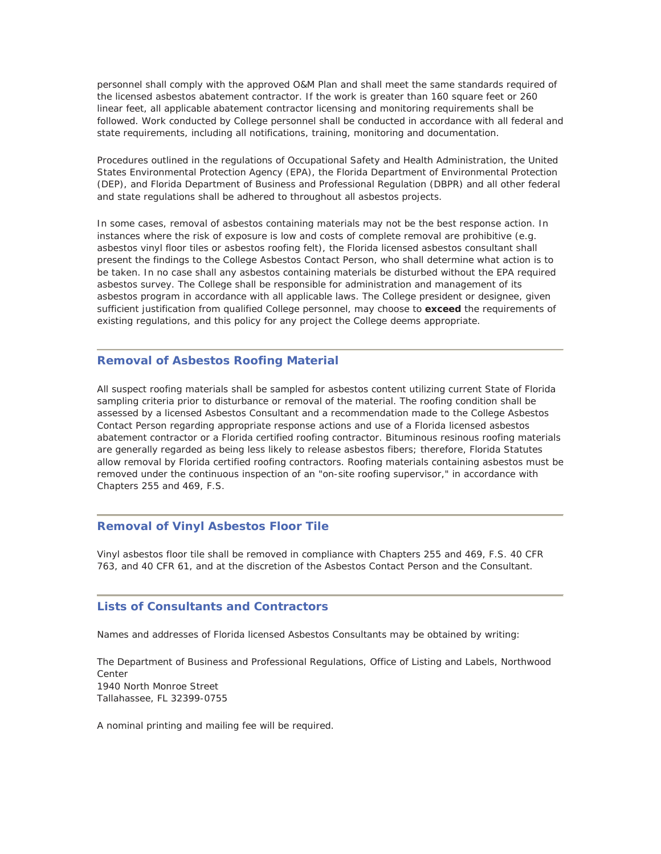personnel shall comply with the approved O&M Plan and shall meet the same standards required of the licensed asbestos abatement contractor. If the work is greater than 160 square feet or 260 linear feet, all applicable abatement contractor licensing and monitoring requirements shall be followed. Work conducted by College personnel shall be conducted in accordance with all federal and state requirements, including all notifications, training, monitoring and documentation.

Procedures outlined in the regulations of Occupational Safety and Health Administration, the United States Environmental Protection Agency (EPA), the Florida Department of Environmental Protection (DEP), and Florida Department of Business and Professional Regulation (DBPR) and all other federal and state regulations shall be adhered to throughout all asbestos projects.

In some cases, removal of asbestos containing materials may not be the best response action. In instances where the risk of exposure is low and costs of complete removal are prohibitive (e.g. asbestos vinyl floor tiles or asbestos roofing felt), the Florida licensed asbestos consultant shall present the findings to the College Asbestos Contact Person, who shall determine what action is to be taken. In no case shall any asbestos containing materials be disturbed without the EPA required asbestos survey. The College shall be responsible for administration and management of its asbestos program in accordance with all applicable laws. The College president or designee, given sufficient justification from qualified College personnel, may choose to *exceed* the requirements of existing regulations, and this policy for any project the College deems appropriate.

## **Removal of Asbestos Roofing Material**

All suspect roofing materials shall be sampled for asbestos content utilizing current State of Florida sampling criteria prior to disturbance or removal of the material. The roofing condition shall be assessed by a licensed Asbestos Consultant and a recommendation made to the College Asbestos Contact Person regarding appropriate response actions and use of a Florida licensed asbestos abatement contractor or a Florida certified roofing contractor. Bituminous resinous roofing materials are generally regarded as being less likely to release asbestos fibers; therefore, Florida Statutes allow removal by Florida certified roofing contractors. Roofing materials containing asbestos must be removed under the continuous inspection of an "on-site roofing supervisor," in accordance with Chapters 255 and 469, F.S.

#### **Removal of Vinyl Asbestos Floor Tile**

Vinyl asbestos floor tile shall be removed in compliance with Chapters 255 and 469, F.S. 40 CFR 763, and 40 CFR 61, and at the discretion of the Asbestos Contact Person and the Consultant.

#### **Lists of Consultants and Contractors**

Names and addresses of Florida licensed Asbestos Consultants may be obtained by writing:

The Department of Business and Professional Regulations, Office of Listing and Labels, Northwood Center 1940 North Monroe Street Tallahassee, FL 32399-0755

A nominal printing and mailing fee will be required.